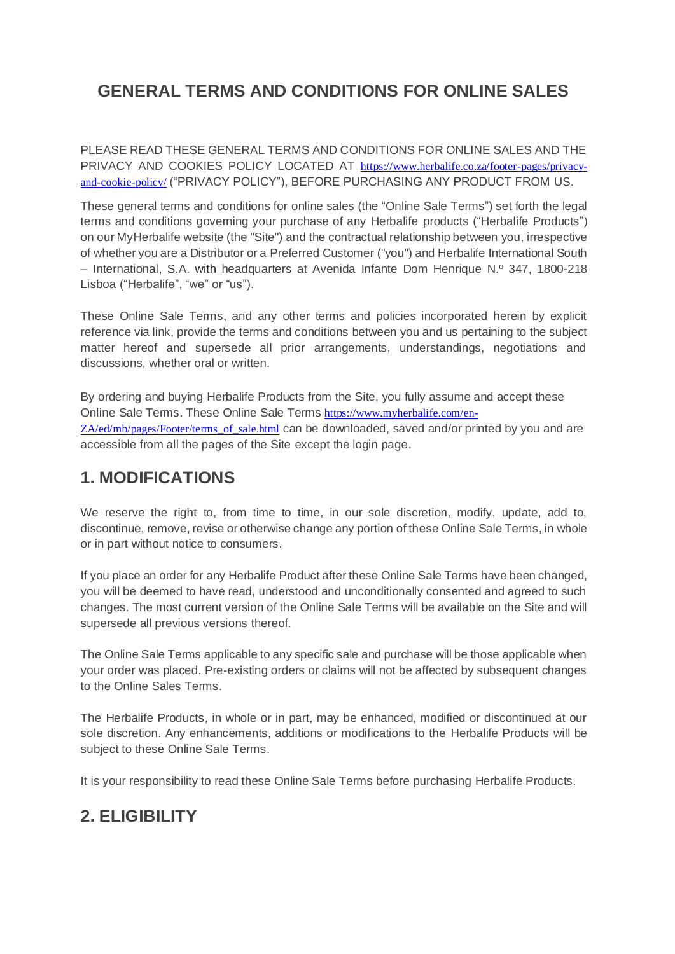# **GENERAL TERMS AND CONDITIONS FOR ONLINE SALES**

PLEASE READ THESE GENERAL TERMS AND CONDITIONS FOR ONLINE SALES AND THE PRIVACY AND COOKIES POLICY LOCATED AT [https://www.herbalife.co.za/footer-pages/privacy](https://nam10.safelinks.protection.outlook.com/?url=https%3A%2F%2Fwww.herbalife.co.za%2Ffooter-pages%2Fprivacy-and-cookie-policy%2F&data=04%7C01%7Cpoppye%40herbalife.com%7Cf75dfd9353cf484a4f9408d9529651a3%7C101f87a76d6b4c6c9d9c223592a2ba50%7C0%7C0%7C637631629415502707%7CUnknown%7CTWFpbGZsb3d8eyJWIjoiMC4wLjAwMDAiLCJQIjoiV2luMzIiLCJBTiI6Ik1haWwiLCJXVCI6Mn0%3D%7C1000&sdata=VzM9%2FHoCIqvQ8YyBsYxlPgr3R75FvJKgXoOH7X8DLtA%3D&reserved=0)[and-cookie-policy/](https://nam10.safelinks.protection.outlook.com/?url=https%3A%2F%2Fwww.herbalife.co.za%2Ffooter-pages%2Fprivacy-and-cookie-policy%2F&data=04%7C01%7Cpoppye%40herbalife.com%7Cf75dfd9353cf484a4f9408d9529651a3%7C101f87a76d6b4c6c9d9c223592a2ba50%7C0%7C0%7C637631629415502707%7CUnknown%7CTWFpbGZsb3d8eyJWIjoiMC4wLjAwMDAiLCJQIjoiV2luMzIiLCJBTiI6Ik1haWwiLCJXVCI6Mn0%3D%7C1000&sdata=VzM9%2FHoCIqvQ8YyBsYxlPgr3R75FvJKgXoOH7X8DLtA%3D&reserved=0) ("PRIVACY POLICY"), BEFORE PURCHASING ANY PRODUCT FROM US.

These general terms and conditions for online sales (the "Online Sale Terms") set forth the legal terms and conditions governing your purchase of any Herbalife products ("Herbalife Products") on our MyHerbalife website (the "Site") and the contractual relationship between you, irrespective of whether you are a Distributor or a Preferred Customer ("you") and Herbalife International South – International, S.A. with headquarters at Avenida Infante Dom Henrique N.º 347, 1800-218 Lisboa ("Herbalife", "we" or "us").

These Online Sale Terms, and any other terms and policies incorporated herein by explicit reference via link, provide the terms and conditions between you and us pertaining to the subject matter hereof and supersede all prior arrangements, understandings, negotiations and discussions, whether oral or written.

By ordering and buying Herbalife Products from the Site, you fully assume and accept these Online Sale Terms. These Online Sale Terms [https://www.myherbalife.com/en-](https://nam10.safelinks.protection.outlook.com/?url=https%3A%2F%2Fwww.myherbalife.com%2Fen-ZA%2Fed%2Fmb%2Fpages%2FFooter%2Fterms_of_sale.html&data=04%7C01%7Crosalied%40herbalife.com%7C82c38a915bd041d9e15d08d94dfff33b%7C101f87a76d6b4c6c9d9c223592a2ba50%7C0%7C0%7C637626583963641576%7CUnknown%7CTWFpbGZsb3d8eyJWIjoiMC4wLjAwMDAiLCJQIjoiV2luMzIiLCJBTiI6Ik1haWwiLCJXVCI6Mn0%3D%7C1000&sdata=JsGfidA3xmnkMwXJGlkFp4DTcR1xvs9ZUKfMnZd2WuA%3D&reserved=0)[ZA/ed/mb/pages/Footer/terms\\_of\\_sale.html](https://nam10.safelinks.protection.outlook.com/?url=https%3A%2F%2Fwww.myherbalife.com%2Fen-ZA%2Fed%2Fmb%2Fpages%2FFooter%2Fterms_of_sale.html&data=04%7C01%7Crosalied%40herbalife.com%7C82c38a915bd041d9e15d08d94dfff33b%7C101f87a76d6b4c6c9d9c223592a2ba50%7C0%7C0%7C637626583963641576%7CUnknown%7CTWFpbGZsb3d8eyJWIjoiMC4wLjAwMDAiLCJQIjoiV2luMzIiLCJBTiI6Ik1haWwiLCJXVCI6Mn0%3D%7C1000&sdata=JsGfidA3xmnkMwXJGlkFp4DTcR1xvs9ZUKfMnZd2WuA%3D&reserved=0) can be downloaded, saved and/or printed by you and are accessible from all the pages of the Site except the login page.

## **1. MODIFICATIONS**

We reserve the right to, from time to time, in our sole discretion, modify, update, add to, discontinue, remove, revise or otherwise change any portion of these Online Sale Terms, in whole or in part without notice to consumers.

If you place an order for any Herbalife Product after these Online Sale Terms have been changed, you will be deemed to have read, understood and unconditionally consented and agreed to such changes. The most current version of the Online Sale Terms will be available on the Site and will supersede all previous versions thereof.

The Online Sale Terms applicable to any specific sale and purchase will be those applicable when your order was placed. Pre-existing orders or claims will not be affected by subsequent changes to the Online Sales Terms.

The Herbalife Products, in whole or in part, may be enhanced, modified or discontinued at our sole discretion. Any enhancements, additions or modifications to the Herbalife Products will be subject to these Online Sale Terms.

It is your responsibility to read these Online Sale Terms before purchasing Herbalife Products.

# **2. ELIGIBILITY**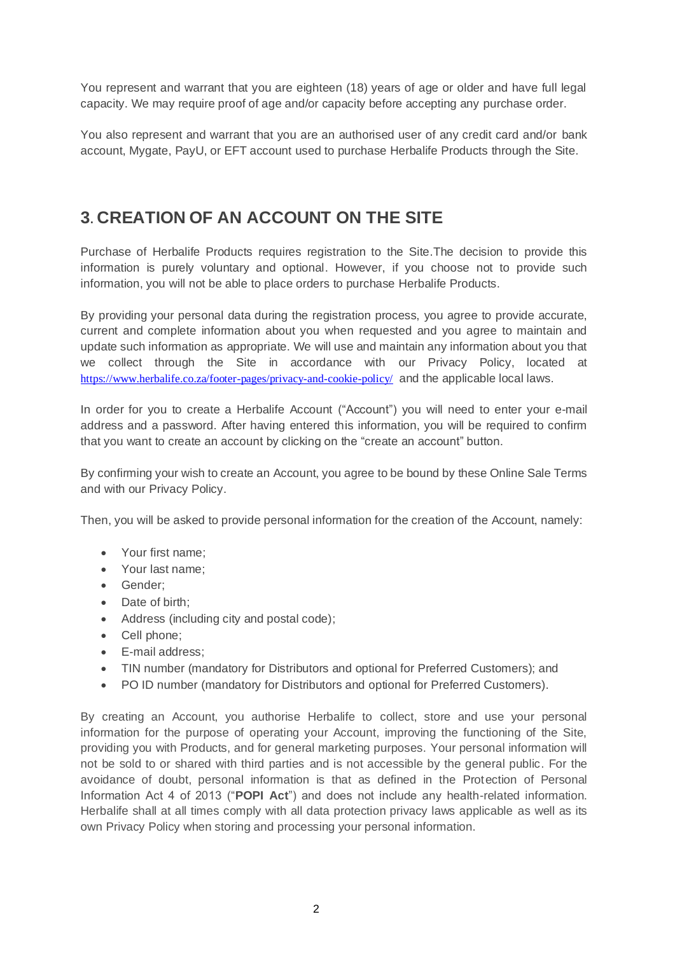You represent and warrant that you are eighteen (18) years of age or older and have full legal capacity. We may require proof of age and/or capacity before accepting any purchase order.

You also represent and warrant that you are an authorised user of any credit card and/or bank account, Mygate, PayU, or EFT account used to purchase Herbalife Products through the Site.

### **3. CREATION OF AN ACCOUNT ON THE SITE**

Purchase of Herbalife Products requires registration to the Site.The decision to provide this information is purely voluntary and optional. However, if you choose not to provide such information, you will not be able to place orders to purchase Herbalife Products.

By providing your personal data during the registration process, you agree to provide accurate, current and complete information about you when requested and you agree to maintain and update such information as appropriate. We will use and maintain any information about you that we collect through the Site in accordance with our Privacy Policy, located at [https://www.herbalife.co.za/footer-pages/privacy-and-cookie-policy/](https://nam10.safelinks.protection.outlook.com/?url=https%3A%2F%2Fwww.herbalife.co.za%2Ffooter-pages%2Fprivacy-and-cookie-policy%2F&data=04%7C01%7Cpoppye%40herbalife.com%7Cf75dfd9353cf484a4f9408d9529651a3%7C101f87a76d6b4c6c9d9c223592a2ba50%7C0%7C0%7C637631629415502707%7CUnknown%7CTWFpbGZsb3d8eyJWIjoiMC4wLjAwMDAiLCJQIjoiV2luMzIiLCJBTiI6Ik1haWwiLCJXVCI6Mn0%3D%7C1000&sdata=VzM9%2FHoCIqvQ8YyBsYxlPgr3R75FvJKgXoOH7X8DLtA%3D&reserved=0) and the applicable local laws.

In order for you to create a Herbalife Account ("Account") you will need to enter your e-mail address and a password. After having entered this information, you will be required to confirm that you want to create an account by clicking on the "create an account" button.

By confirming your wish to create an Account, you agree to be bound by these Online Sale Terms and with our Privacy Policy.

Then, you will be asked to provide personal information for the creation of the Account, namely:

- Your first name;
- Your last name;
- Gender;
- Date of birth;
- Address (including city and postal code);
- Cell phone;
- E-mail address;
- TIN number (mandatory for Distributors and optional for Preferred Customers); and
- PO ID number (mandatory for Distributors and optional for Preferred Customers).

By creating an Account, you authorise Herbalife to collect, store and use your personal information for the purpose of operating your Account, improving the functioning of the Site, providing you with Products, and for general marketing purposes. Your personal information will not be sold to or shared with third parties and is not accessible by the general public. For the avoidance of doubt, personal information is that as defined in the Protection of Personal Information Act 4 of 2013 ("**POPI Act**") and does not include any health-related information. Herbalife shall at all times comply with all data protection privacy laws applicable as well as its own Privacy Policy when storing and processing your personal information.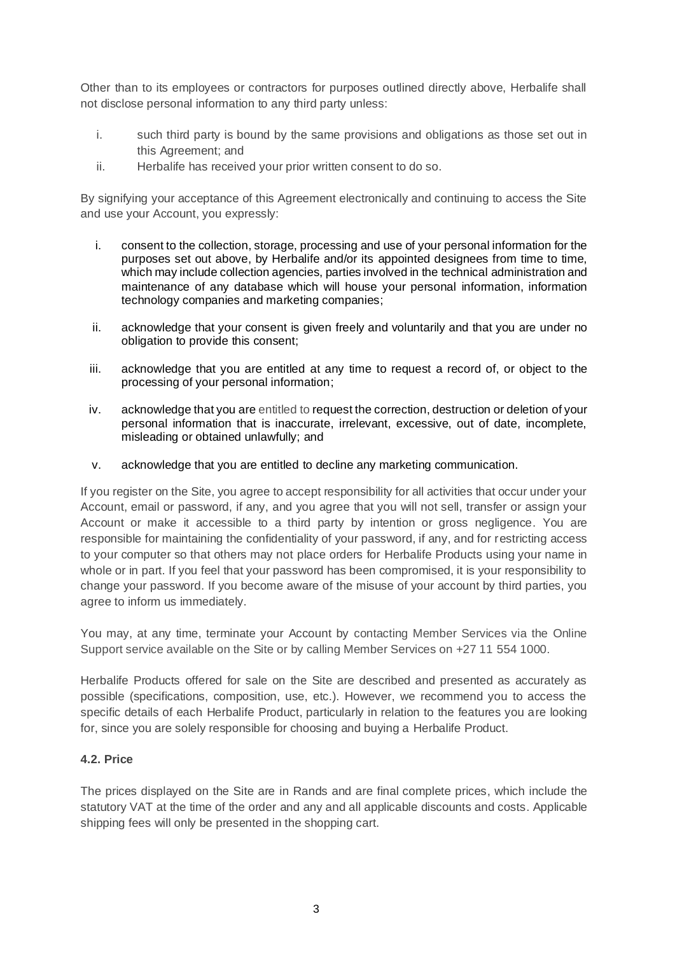Other than to its employees or contractors for purposes outlined directly above, Herbalife shall not disclose personal information to any third party unless:

- i. such third party is bound by the same provisions and obligations as those set out in this Agreement; and
- ii. Herbalife has received your prior written consent to do so.

By signifying your acceptance of this Agreement electronically and continuing to access the Site and use your Account, you expressly:

- i. consent to the collection, storage, processing and use of your personal information for the purposes set out above, by Herbalife and/or its appointed designees from time to time, which may include collection agencies, parties involved in the technical administration and maintenance of any database which will house your personal information, information technology companies and marketing companies;
- ii. acknowledge that your consent is given freely and voluntarily and that you are under no obligation to provide this consent;
- iii. acknowledge that you are entitled at any time to request a record of, or object to the processing of your personal information;
- iv. acknowledge that you are entitled to request the correction, destruction or deletion of your personal information that is inaccurate, irrelevant, excessive, out of date, incomplete, misleading or obtained unlawfully; and
- v. acknowledge that you are entitled to decline any marketing communication.

If you register on the Site, you agree to accept responsibility for all activities that occur under your Account, email or password, if any, and you agree that you will not sell, transfer or assign your Account or make it accessible to a third party by intention or gross negligence. You are responsible for maintaining the confidentiality of your password, if any, and for restricting access to your computer so that others may not place orders for Herbalife Products using your name in whole or in part. If you feel that your password has been compromised, it is your responsibility to change your password. If you become aware of the misuse of your account by third parties, you agree to inform us immediately.

You may, at any time, terminate your Account by contacting Member Services via the Online Support service available on the Site or by calling Member Services on +27 11 554 1000.

Herbalife Products offered for sale on the Site are described and presented as accurately as possible (specifications, composition, use, etc.). However, we recommend you to access the specific details of each Herbalife Product, particularly in relation to the features you are looking for, since you are solely responsible for choosing and buying a Herbalife Product.

### **4.2. Price**

The prices displayed on the Site are in Rands and are final complete prices, which include the statutory VAT at the time of the order and any and all applicable discounts and costs. Applicable shipping fees will only be presented in the shopping cart.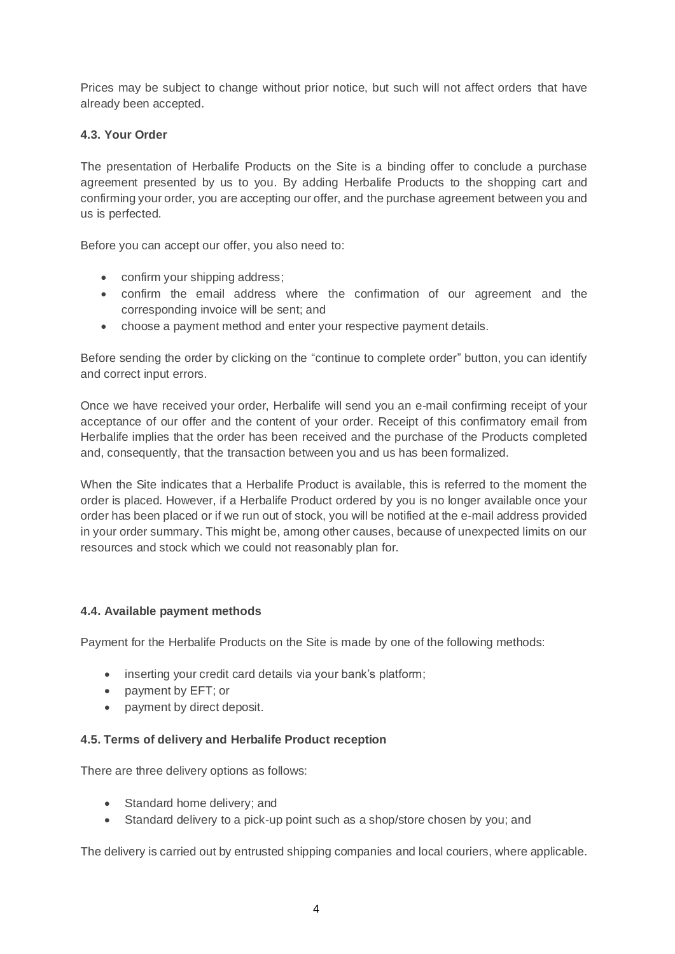Prices may be subject to change without prior notice, but such will not affect orders that have already been accepted.

### **4.3. Your Order**

The presentation of Herbalife Products on the Site is a binding offer to conclude a purchase agreement presented by us to you. By adding Herbalife Products to the shopping cart and confirming your order, you are accepting our offer, and the purchase agreement between you and us is perfected.

Before you can accept our offer, you also need to:

- confirm your shipping address;
- confirm the email address where the confirmation of our agreement and the corresponding invoice will be sent; and
- choose a payment method and enter your respective payment details.

Before sending the order by clicking on the "continue to complete order" button, you can identify and correct input errors.

Once we have received your order, Herbalife will send you an e-mail confirming receipt of your acceptance of our offer and the content of your order. Receipt of this confirmatory email from Herbalife implies that the order has been received and the purchase of the Products completed and, consequently, that the transaction between you and us has been formalized.

When the Site indicates that a Herbalife Product is available, this is referred to the moment the order is placed. However, if a Herbalife Product ordered by you is no longer available once your order has been placed or if we run out of stock, you will be notified at the e-mail address provided in your order summary. This might be, among other causes, because of unexpected limits on our resources and stock which we could not reasonably plan for.

### **4.4. Available payment methods**

Payment for the Herbalife Products on the Site is made by one of the following methods:

- inserting your credit card details via your bank's platform;
- payment by EFT; or
- payment by direct deposit.

### **4.5. Terms of delivery and Herbalife Product reception**

There are three delivery options as follows:

- Standard home delivery; and
- Standard delivery to a pick-up point such as a shop/store chosen by you; and

The delivery is carried out by entrusted shipping companies and local couriers, where applicable.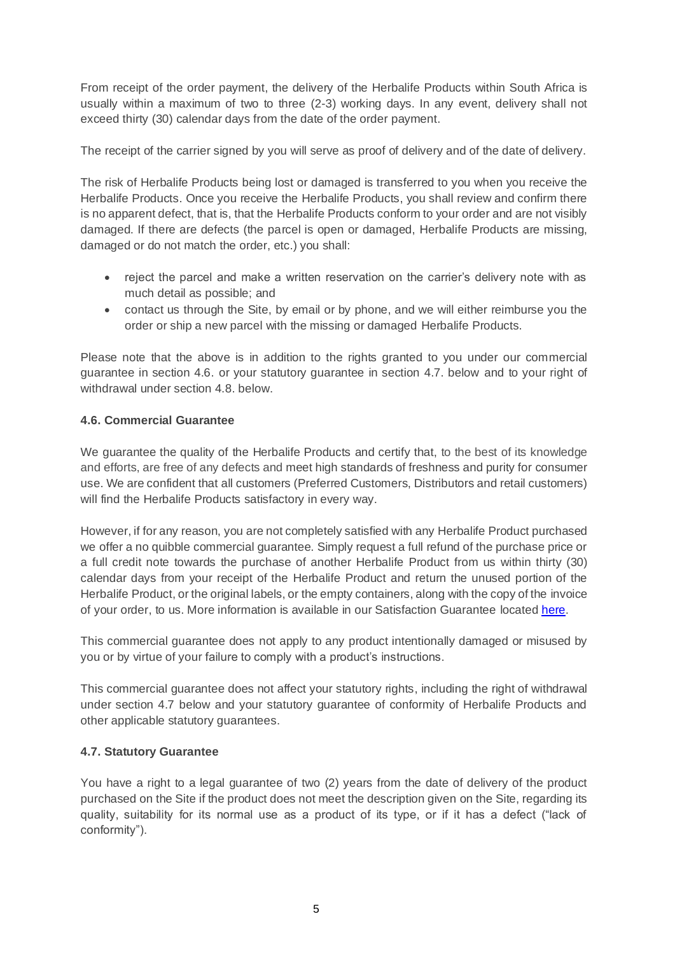From receipt of the order payment, the delivery of the Herbalife Products within South Africa is usually within a maximum of two to three (2-3) working days. In any event, delivery shall not exceed thirty (30) calendar days from the date of the order payment.

The receipt of the carrier signed by you will serve as proof of delivery and of the date of delivery.

The risk of Herbalife Products being lost or damaged is transferred to you when you receive the Herbalife Products. Once you receive the Herbalife Products, you shall review and confirm there is no apparent defect, that is, that the Herbalife Products conform to your order and are not visibly damaged. If there are defects (the parcel is open or damaged, Herbalife Products are missing, damaged or do not match the order, etc.) you shall:

- reject the parcel and make a written reservation on the carrier's delivery note with as much detail as possible; and
- contact us through the Site, by email or by phone, and we will either reimburse you the order or ship a new parcel with the missing or damaged Herbalife Products.

Please note that the above is in addition to the rights granted to you under our commercial guarantee in section 4.6. or your statutory guarantee in section 4.7. below and to your right of withdrawal under section 4.8. below.

### **4.6. Commercial Guarantee**

We guarantee the quality of the Herbalife Products and certify that, to the best of its knowledge and efforts, are free of any defects and meet high standards of freshness and purity for consumer use. We are confident that all customers (Preferred Customers, Distributors and retail customers) will find the Herbalife Products satisfactory in every way.

However, if for any reason, you are not completely satisfied with any Herbalife Product purchased we offer a no quibble commercial guarantee. Simply request a full refund of the purchase price or a full credit note towards the purchase of another Herbalife Product from us within thirty (30) calendar days from your receipt of the Herbalife Product and return the unused portion of the Herbalife Product, or the original labels, or the empty containers, along with the copy of the invoice of your order, to us. More information is available in our Satisfaction Guarantee locate[d here.](https://assets.herbalifenutrition.com/content/dam/regional/emea/en_za/consumable_content/policy-and-compliance/2021/06-Jun/Satisfaction_Guarantee_en-ZA.pdf/_jcr_content/renditions/original)

This commercial guarantee does not apply to any product intentionally damaged or misused by you or by virtue of your failure to comply with a product's instructions.

This commercial guarantee does not affect your statutory rights, including the right of withdrawal under section 4.7 below and your statutory guarantee of conformity of Herbalife Products and other applicable statutory guarantees.

### **4.7. Statutory Guarantee**

You have a right to a legal guarantee of two (2) years from the date of delivery of the product purchased on the Site if the product does not meet the description given on the Site, regarding its quality, suitability for its normal use as a product of its type, or if it has a defect ("lack of conformity").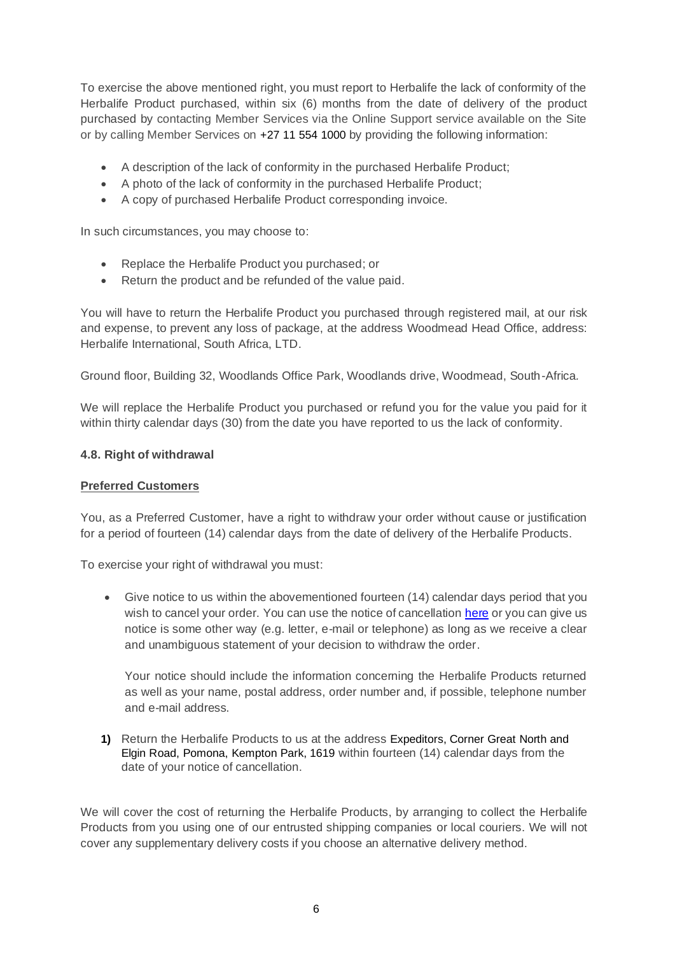To exercise the above mentioned right, you must report to Herbalife the lack of conformity of the Herbalife Product purchased, within six (6) months from the date of delivery of the product purchased by contacting Member Services via the Online Support service available on the Site or by calling Member Services on +27 11 554 1000 by providing the following information:

- A description of the lack of conformity in the purchased Herbalife Product;
- A photo of the lack of conformity in the purchased Herbalife Product;
- A copy of purchased Herbalife Product corresponding invoice.

In such circumstances, you may choose to:

- Replace the Herbalife Product you purchased; or
- Return the product and be refunded of the value paid.

You will have to return the Herbalife Product you purchased through registered mail, at our risk and expense, to prevent any loss of package, at the address Woodmead Head Office, address: Herbalife International, South Africa, LTD.

Ground floor, Building 32, Woodlands Office Park, Woodlands drive, Woodmead, South-Africa*.*

We will replace the Herbalife Product you purchased or refund you for the value you paid for it within thirty calendar days (30) from the date you have reported to us the lack of conformity.

#### **4.8. Right of withdrawal**

#### **Preferred Customers**

You, as a Preferred Customer, have a right to withdraw your order without cause or justification for a period of fourteen (14) calendar days from the date of delivery of the Herbalife Products.

To exercise your right of withdrawal you must:

• Give notice to us within the abovementioned fourteen (14) calendar days period that you wish to cancel your order. You can use the notice of cancellation [here](https://assets.herbalifenutrition.com/content/dam/regional/emea/en_za/consumable_content/policy-and-compliance/2021/06-Jun/PC_Refund_Policy_en-ZA.pdf/_jcr_content/renditions/original) or you can give us notice is some other way (e.g. letter, e-mail or telephone) as long as we receive a clear and unambiguous statement of your decision to withdraw the order.

Your notice should include the information concerning the Herbalife Products returned as well as your name, postal address, order number and, if possible, telephone number and e-mail address.

**1)** Return the Herbalife Products to us at the address Expeditors, Corner Great North and Elgin Road, Pomona, Kempton Park, 1619 within fourteen (14) calendar days from the date of your notice of cancellation.

We will cover the cost of returning the Herbalife Products, by arranging to collect the Herbalife Products from you using one of our entrusted shipping companies or local couriers. We will not cover any supplementary delivery costs if you choose an alternative delivery method.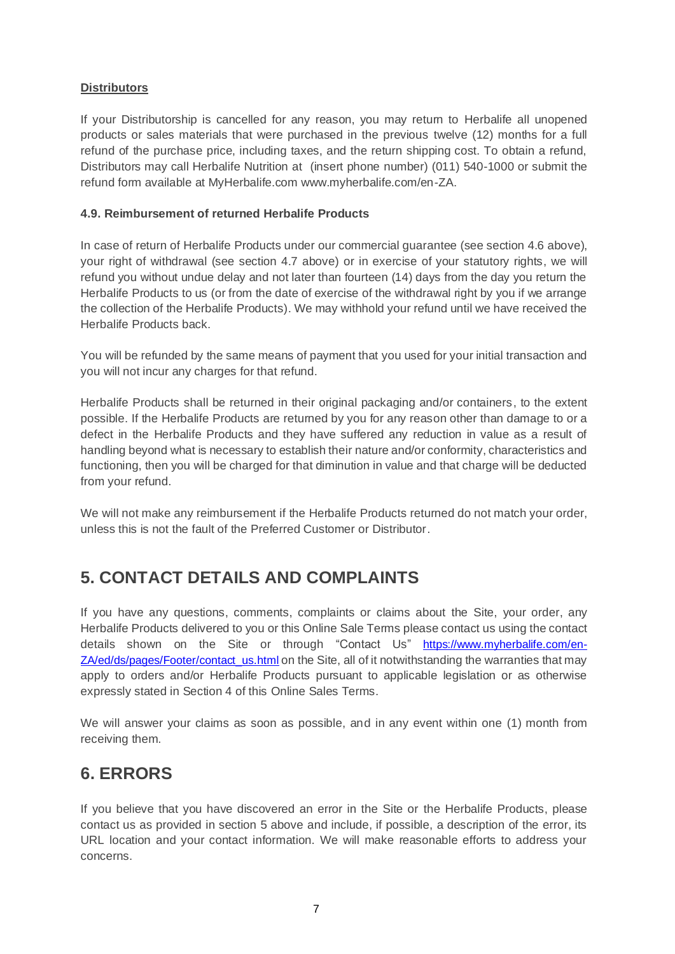### **Distributors**

If your Distributorship is cancelled for any reason, you may return to Herbalife all unopened products or sales materials that were purchased in the previous twelve (12) months for a full refund of the purchase price, including taxes, and the return shipping cost. To obtain a refund, Distributors may call Herbalife Nutrition at (insert phone number) (011) 540-1000 or submit the refund form available at MyHerbalife.com www.myherbalife.com/en-ZA.

### **4.9. Reimbursement of returned Herbalife Products**

In case of return of Herbalife Products under our commercial guarantee (see section 4.6 above), your right of withdrawal (see section 4.7 above) or in exercise of your statutory rights, we will refund you without undue delay and not later than fourteen (14) days from the day you return the Herbalife Products to us (or from the date of exercise of the withdrawal right by you if we arrange the collection of the Herbalife Products). We may withhold your refund until we have received the Herbalife Products back.

You will be refunded by the same means of payment that you used for your initial transaction and you will not incur any charges for that refund.

Herbalife Products shall be returned in their original packaging and/or containers, to the extent possible. If the Herbalife Products are returned by you for any reason other than damage to or a defect in the Herbalife Products and they have suffered any reduction in value as a result of handling beyond what is necessary to establish their nature and/or conformity, characteristics and functioning, then you will be charged for that diminution in value and that charge will be deducted from your refund.

We will not make any reimbursement if the Herbalife Products returned do not match your order, unless this is not the fault of the Preferred Customer or Distributor.

## **5. CONTACT DETAILS AND COMPLAINTS**

If you have any questions, comments, complaints or claims about the Site, your order, any Herbalife Products delivered to you or this Online Sale Terms please contact us using the contact details shown on the Site or through "Contact Us" [https://www.myherbalife.com/en-](https://www.myherbalife.com/en-ZA/ed/ds/pages/Footer/contact_us.html)[ZA/ed/ds/pages/Footer/contact\\_us.html](https://www.myherbalife.com/en-ZA/ed/ds/pages/Footer/contact_us.html) on the Site, all of it notwithstanding the warranties that may apply to orders and/or Herbalife Products pursuant to applicable legislation or as otherwise expressly stated in Section 4 of this Online Sales Terms.

We will answer your claims as soon as possible, and in any event within one (1) month from receiving them.

## **6. ERRORS**

If you believe that you have discovered an error in the Site or the Herbalife Products, please contact us as provided in section 5 above and include, if possible, a description of the error, its URL location and your contact information. We will make reasonable efforts to address your concerns.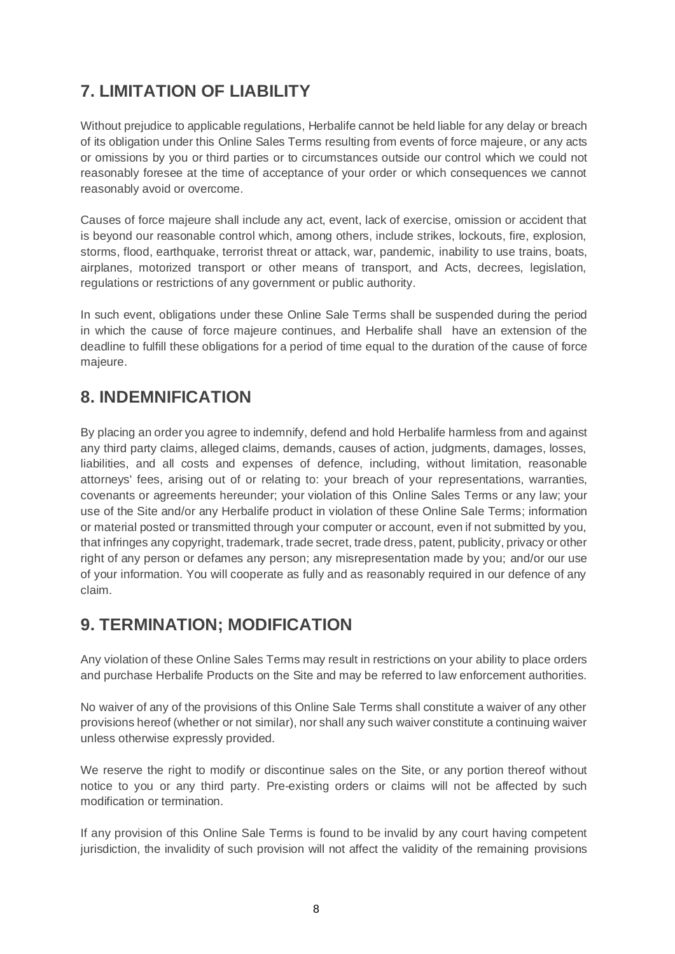# **7. LIMITATION OF LIABILITY**

Without prejudice to applicable regulations, Herbalife cannot be held liable for any delay or breach of its obligation under this Online Sales Terms resulting from events of force majeure, or any acts or omissions by you or third parties or to circumstances outside our control which we could not reasonably foresee at the time of acceptance of your order or which consequences we cannot reasonably avoid or overcome.

Causes of force majeure shall include any act, event, lack of exercise, omission or accident that is beyond our reasonable control which, among others, include strikes, lockouts, fire, explosion, storms, flood, earthquake, terrorist threat or attack, war, pandemic, inability to use trains, boats, airplanes, motorized transport or other means of transport, and Acts, decrees, legislation, regulations or restrictions of any government or public authority.

In such event, obligations under these Online Sale Terms shall be suspended during the period in which the cause of force majeure continues, and Herbalife shall have an extension of the deadline to fulfill these obligations for a period of time equal to the duration of the cause of force majeure.

## **8. INDEMNIFICATION**

By placing an order you agree to indemnify, defend and hold Herbalife harmless from and against any third party claims, alleged claims, demands, causes of action, judgments, damages, losses, liabilities, and all costs and expenses of defence, including, without limitation, reasonable attorneys' fees, arising out of or relating to: your breach of your representations, warranties, covenants or agreements hereunder; your violation of this Online Sales Terms or any law; your use of the Site and/or any Herbalife product in violation of these Online Sale Terms; information or material posted or transmitted through your computer or account, even if not submitted by you, that infringes any copyright, trademark, trade secret, trade dress, patent, publicity, privacy or other right of any person or defames any person; any misrepresentation made by you; and/or our use of your information. You will cooperate as fully and as reasonably required in our defence of any claim.

## **9. TERMINATION; MODIFICATION**

Any violation of these Online Sales Terms may result in restrictions on your ability to place orders and purchase Herbalife Products on the Site and may be referred to law enforcement authorities.

No waiver of any of the provisions of this Online Sale Terms shall constitute a waiver of any other provisions hereof (whether or not similar), nor shall any such waiver constitute a continuing waiver unless otherwise expressly provided.

We reserve the right to modify or discontinue sales on the Site, or any portion thereof without notice to you or any third party. Pre-existing orders or claims will not be affected by such modification or termination.

If any provision of this Online Sale Terms is found to be invalid by any court having competent jurisdiction, the invalidity of such provision will not affect the validity of the remaining provisions